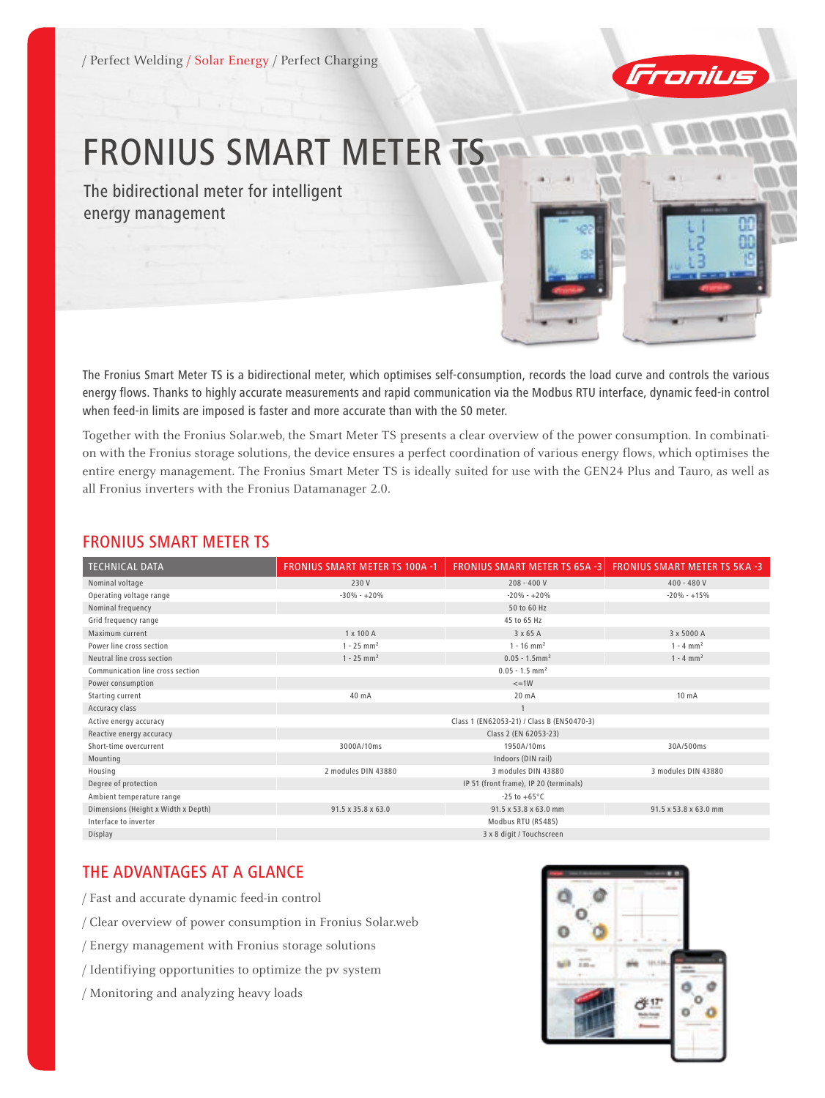

# FRONIUS SMART METER TS

The bidirectional meter for intelligent energy management

The Fronius Smart Meter TS is a bidirectional meter, which optimises self-consumption, records the load curve and controls the various energy flows. Thanks to highly accurate measurements and rapid communication via the Modbus RTU interface, dynamic feed-in control when feed-in limits are imposed is faster and more accurate than with the S0 meter.

Together with the Fronius Solar.web, the Smart Meter TS presents a clear overview of the power consumption. In combination with the Fronius storage solutions, the device ensures a perfect coordination of various energy flows, which optimises the entire energy management. The Fronius Smart Meter TS is ideally suited for use with the GEN24 Plus and Tauro, as well as all Fronius inverters with the Fronius Datamanager 2.0.

### Fronius smart meter TS

| <b>TECHNICAL DATA</b>               | <b>FRONIUS SMART METER TS 100A -1</b> | <b>FRONIUS SMART METER TS 65A -3</b>       | <b>FRONIUS SMART METER TS 5KA -3</b> |
|-------------------------------------|---------------------------------------|--------------------------------------------|--------------------------------------|
| Nominal voltage                     | 230 V                                 | $208 - 400V$                               | $400 - 480V$                         |
| Operating voltage range             | $-30\% - +20\%$                       | $-20\% - +20\%$                            | $-20% - +15%$                        |
| Nominal frequency                   |                                       | 50 to 60 Hz                                |                                      |
| Grid frequency range                |                                       | 45 to 65 Hz                                |                                      |
| Maximum current                     | $1 \times 100$ A                      | 3 x 65 A                                   | 3 x 5000 A                           |
| Power line cross section            | $1 - 25$ mm <sup>2</sup>              | $1 - 16$ mm <sup>2</sup>                   | $1 - 4$ mm <sup>2</sup>              |
| Neutral line cross section          | $1 - 25$ mm <sup>2</sup>              | $0.05 - 1.5$ mm <sup>2</sup>               | $1 - 4$ mm <sup>2</sup>              |
| Communication line cross section    |                                       | $0.05 - 1.5$ mm <sup>2</sup>               |                                      |
| Power consumption                   |                                       | $=1W$                                      |                                      |
| Starting current                    | 40 mA                                 | 20 mA                                      | 10 <sub>m</sub> A                    |
| Accuracy class                      |                                       |                                            |                                      |
| Active energy accuracy              |                                       | Class 1 (EN62053-21) / Class B (EN50470-3) |                                      |
| Reactive energy accuracy            |                                       | Class 2 (EN 62053-23)                      |                                      |
| Short-time overcurrent              | 3000A/10ms                            | 1950A/10ms                                 | 30A/500ms                            |
| Mounting                            |                                       | Indoors (DIN rail)                         |                                      |
| Housing                             | 2 modules DIN 43880                   | 3 modules DIN 43880                        | 3 modules DIN 43880                  |
| Degree of protection                |                                       | IP 51 (front frame), IP 20 (terminals)     |                                      |
| Ambient temperature range           |                                       | $-25$ to $+65^{\circ}$ C                   |                                      |
| Dimensions (Height x Width x Depth) | 91.5 x 35.8 x 63.0                    | 91.5 x 53.8 x 63.0 mm                      | 91.5 x 53.8 x 63.0 mm                |
| Interface to inverter               |                                       | Modbus RTU (RS485)                         |                                      |
| Display                             |                                       | 3 x 8 digit / Touchscreen                  |                                      |

## THE ADVANTAGES AT A GLANCE

/ Fast and accurate dynamic feed-in control

/ Clear overview of power consumption in Fronius Solar.web

- / Energy management with Fronius storage solutions
- / Identifiying opportunities to optimize the pv system
- / Monitoring and analyzing heavy loads